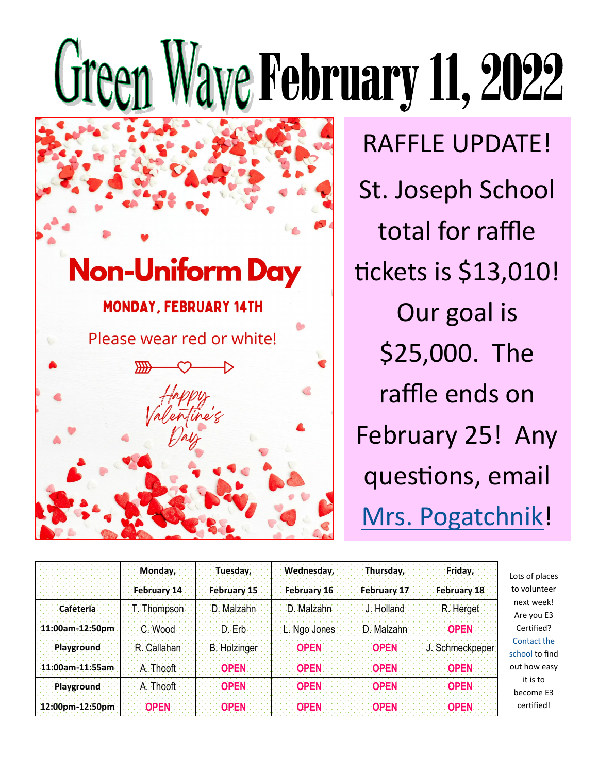## Green Waye February 11, 2022



RAFFLE UPDATE! St. Joseph School total for raffle tickets is \$13,010! Our goal is \$25,000. The raffle ends on February 25! Any questions, email [Mrs. Pogatchnik!](mailto:shelby.pogatchnik@stjosephcommunity.org?subject=raffle)

|                   | Monday.             | Tuesday,            | Wednesday,   | Thursday,   | Friday,         |
|-------------------|---------------------|---------------------|--------------|-------------|-----------------|
|                   | February 14         | February 15         | February 16  | February 17 | February 18     |
| Cafeteria         | <b>T.</b> Thompson: | D. Malzahn          | D Malzahn    | √J. Holland | R. Herget       |
| 11:00am-12:50pm   | C Wood:             | D Frbi              | L. Ngo Jones | D: Malzahn  | <b>OPEN</b>     |
| <b>Playground</b> | R. Callahan         | <b>B. Holzinger</b> | <b>OPEN</b>  | <b>OPEN</b> | J. Schmeckpeper |
| 11:00am-11:55am   | A. Thooft:          | <b>OPEN</b>         | <b>OPFN</b>  | <b>OPFN</b> | <b>OPFN</b>     |
| <b>Playground</b> | A. Thooft           | <b>OPEN</b>         | <b>OPEN</b>  | <b>OPEN</b> | <b>OPEN</b>     |
| 12:00pm-12:50pm   | <b>OPFN</b>         | OPFN.               | <b>OPFN</b>  | OPFN        | <b>OPEN</b>     |

Lots of places to volunteer next week! Are you E3 Certified? [Contact the](mailto:school@stjosephcommunity.org?subject=E3)  [school](mailto:school@stjosephcommunity.org?subject=E3) to find out how easy it is to become E3 certified!